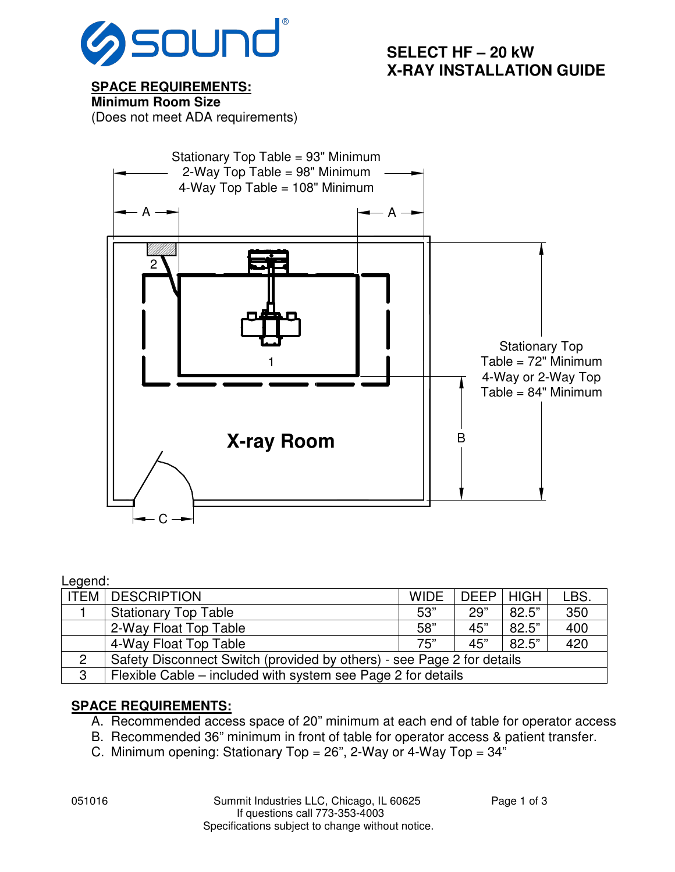

# **SELECT HF – 20 kW X-RAY INSTALLATION GUIDE**

**SPACE REQUIREMENTS:**

**Minimum Room Size**  (Does not meet ADA requirements)



### Legend:

| <u>۔ ت</u>     | <b>ITEM   DESCRIPTION</b>                                              | <b>WIDE</b> | DEEP   HIGH |       | LBS. |
|----------------|------------------------------------------------------------------------|-------------|-------------|-------|------|
|                | <b>Stationary Top Table</b>                                            | 53"         | 29"         | 82.5" | 350  |
|                | 2-Way Float Top Table                                                  | 58"         | 45"         | 82.5" | 400  |
|                | 4-Way Float Top Table                                                  | 75"         | 45"         | 82.5" | 420  |
| $\overline{2}$ | Safety Disconnect Switch (provided by others) - see Page 2 for details |             |             |       |      |
| 3              | Flexible Cable – included with system see Page 2 for details           |             |             |       |      |

### **SPACE REQUIREMENTS:**

- A. Recommended access space of 20" minimum at each end of table for operator access
- B. Recommended 36" minimum in front of table for operator access & patient transfer.
- C. Minimum opening: Stationary Top = 26", 2-Way or 4-Way Top = 34"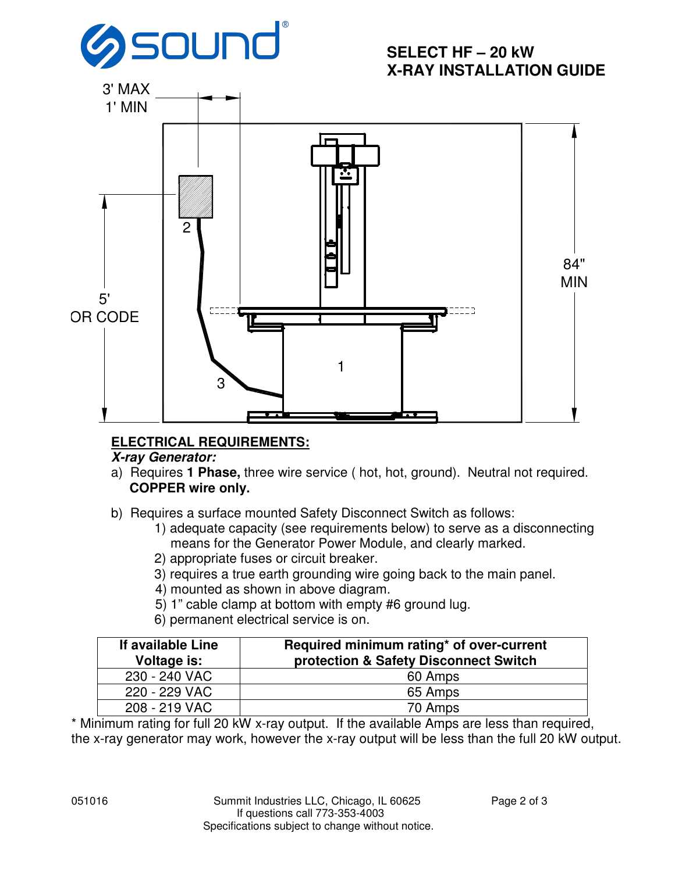

# **SELECT HF – 20 kW X-RAY INSTALLATION GUIDE**



## **ELECTRICAL REQUIREMENTS:**

### **X-ray Generator:**

- a) Requires **1 Phase,** three wire service ( hot, hot, ground). Neutral not required. **COPPER wire only.**
- b) Requires a surface mounted Safety Disconnect Switch as follows:
	- 1) adequate capacity (see requirements below) to serve as a disconnecting means for the Generator Power Module, and clearly marked.
	- 2) appropriate fuses or circuit breaker.
	- 3) requires a true earth grounding wire going back to the main panel.
	- 4) mounted as shown in above diagram.
	- 5) 1" cable clamp at bottom with empty #6 ground lug.
	- 6) permanent electrical service is on.

| If available Line<br>Voltage is: | Required minimum rating* of over-current<br>protection & Safety Disconnect Switch |
|----------------------------------|-----------------------------------------------------------------------------------|
| 230 - 240 VAC                    | 60 Amps                                                                           |
| 220 - 229 VAC                    | 65 Amps                                                                           |
| 208 - 219 VAC                    | 70 Amps                                                                           |

\* Minimum rating for full 20 kW x-ray output. If the available Amps are less than required, the x-ray generator may work, however the x-ray output will be less than the full 20 kW output.